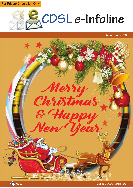**For Private Circulation Only** 



December 2020



<<mark>⇔</mark>≫ CDSL 1 Visit us at www.cdslindia.com من المسافرة المسافرة المسافرة المسافرة المسافرة المسافرة المسافرة المسافرة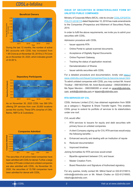

## During the last 12 months, the number of active BO accounts with CDSL has increased from 1.95 Crore as on November 30, 2019 to 2.79 Crore as on November 30, 2020, which indicates growth of 43.08 %.



As on November 30, 2020 CDSL has 589 DPs offering DP services from over 20,600 locations across the country. These DPs comprise of CMs, Banks, NBFCs & Custodians.



The securities of all active listed companies have been admitted with CDSL for demat. Further, a large number of Private Limited and unlisted companies are also admitted with CDSL. As November 30, 2020, the securities of 15,788 companies have been admitted for demat with CDSL.

## **ISSUE OF SECURITIES IN DEMATERIALISED FORM BY UNLISTED PUBLIC COMPANIES**

Ministry of Corporate Affairs (MCA), vide its circular [CDSL/OPS/RTA/](https://www.cdslindia.com/Publications/Communique.aspx) [POLCY/-2018/119](https://www.cdslindia.com/Publications/Communique.aspx) dated September 10, 2018 has made amendments to the Companies (Prospectus and Allotment of Securities) Rules, 2014.

In order to fulfil the above requirements, we invite you to admit your securities with CDSL.

Admission procedure with CDSL

- Issuer appoints RTA
- Online Portal to upload scanned documents.
- Acceptance of Digitally Signed Documents
- Online Payment Gateway.
- Tracking the status of application received.
- Dematerialization of Shares
- Issuer admits securities with CDSL

For a detailed procedure and documentation, kindly visit [https://](https://www.cdslindia.com/IssuerCompanies/How-to-become-issuer.html) [www.cdslindia.com/IssuerCompanies/How-to-become-issuer.html.](https://www.cdslindia.com/IssuerCompanies/How-to-become-issuer.html) To admit unlisted companies with CDSL you may contact Mr. Anand Tirodkar - 09819037049, Mr. Ankit Bandivadekar - 09920383858 or Ms.Tejasi Mendon - 09833580095 or email on anandt@cdslindia. com, ankitb@cdslindia.com or tejasim@cdslindia.com.

### **RTA SERVICES BY CVL**

CDSL Ventures Limited (CVL) has obtained registration from SEBI as a category–I, Registrar & Share Transfer Agent. This enables CDSL group to extend its portfolio of services to its stakeholders under one roof.

CVL would offer:

- RTA services to Issuers for equity and debt securities with primary focus on unlisted companies.
- A client Company signing up for CVL RTA services would enjoy the following benefits: -
- a. Enhanced security and dealing with an Institution of repute
- b. Reduced documentation
- c. Improved timelines

Joining formalities for RTA services would entail:

- Bipartite agreement between CVL and Issuer.
- Master Creation Form.
- Board Resolution and Signature of Authorised signatory.

For any queries, kindly contact Mr. Milind Saraf on 022-61216913, milinds@cdslindia.com or Mr. Nilesh Chalke on 022-61216905, nileshc@cdslindia.com.

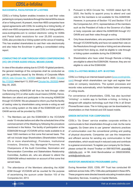### **SUCCESSFUL FACILITATION OF e-VOTING**

CDSL's e-Voting System enables investors to cast their votes pertaining to company resolutions through the internet till the closure of an e-Voting event. At present, more than 4600 companies have signed agreements with CDSL for availing its e-Voting facility, of which over 4500 companies have used CDSL's e-Voting platform, www.evotingindia.com to conduct electronic voting for AGMs and Postal ballot resolutions for over 25,000 occasions. CDSL also provides its e-Voting system at the venue of meeting. This has enabled shareholders to cast their vote electronically and also helps the Scrutinizer in getting a consolidated voting report.

## **CONDUCTING OF AGM THROUGH VIDEO CONFERENCING (VC) OR OTHER AUDIO-VISUAL MEANS (OAVM)**

In view of the situation arising due to COVID-19 global pandemic, the general meetings of the companies shall be conducted as per the guidelines issued by the Ministry of Corporate Affairs [\(MCA\) vide Circular No. 14/2020](http://www.mca.gov.in/Ministry/pdf/Circular14_08042020.pdf) dated April 8, 2020, [Circular](http://www.mca.gov.in/Ministry/pdf/Circular17_13042020.pdf) [No.17/2020](http://www.mca.gov.in/Ministry/pdf/Circular17_13042020.pdf) dated April 13, 2020 and [Circular No. 20/2020](http://www.mca.gov.in/Ministry/pdf/Circular20_05052020.pdf) dated May 05, 2020.

The forthcoming AGM/EGM will thus be held through video conferencing (VC) or other audio-visual means (OAVM). Hence, Members can attend and participate in the ensuing AGM/EGM through VC/OAVM. We are pleased to inform you that the facility of casting votes by shareholders using remote e-voting as well as the e-voting system on the date of the EGM/AGM and VC/ OAVM service will be provided by CDSL.

- 1. The Members can join the EGM/AGM in the VC/OAVM mode 15 minutes before and after the scheduled time of the commencement of the Meeting by following the procedure mentioned in the Notice. The facility of participation at the EGM/AGM through VC/OAVM will be made available to at least 1000 members on first come first served basis. This will not include large Shareholders (Shareholders holding 2% or more shareholding), Promoters, Institutional Investors, Directors, Key Managerial Personnel, the Chairpersons of the Audit Committee, Nomination and Remuneration Committee and Stakeholders Relationship Committee, Auditors etc. who are allowed to attend the EGM/AGM without restriction on account of first come first served basis.
- 2. The attendance of the Members attending the AGM/ EGM through VC/OAVM will be counted for the purpose of ascertaining the quorum under Section 103 of the Companies Act, 2013.
- 3. Pursuant to MCA Circular No. 14/2020 dated April 08, 2020, the facility to appoint proxy to attend and cast vote for the members is not available for this AGM/EGM. However, in pursuance of Section 112 and Section 113 of the Companies Act, 2013, representatives of the members such as the President of India or the Governor of a State or body corporate can attend the AGM/EGM through VC/ OAVM and cast their votes through e-voting
- 4. Only those shareholders, who are present in the EGM/AGM through VC/OAVM facility and have not casted their vote on the Resolutions through remote e-Voting and are otherwise not barred from doing so, shall be eligible to vote through e-Voting system available during the EGM/AGM.
- 5. Shareholders who have voted through Remote e-Voting are eligible to attend the EGM/AGM. However, they are not eligible to vote at the EGM/AGM.

### **CDSL'S e-VOTING MOBILE APP- M-VOTING**

CDSL's e-Voting is an internet-based system [\(www.evotingindia.](https://www.evotingindia.com/)  [com\)](https://www.evotingindia.com/) through which shareholders can login and register their votes on company resolutions. The system processes and records votes automatically, which facilitates faster processing of voting results.

For convenience of shareholders, CDSL has also launched "mVoting"- a mobile app to facilitate e-Voting. m-Voting is designed with adaptive technology such that it fits in all Smart Phones/Screen sizes. The m-Voting app can be downloaded by shareholders on their Android and iOS based mobile.

### **GREEN INITIATIVE FOR CORPORATES**

CDSL's 'Go Green' service enables corporate entities to communicate to their shareholders through e-mail. As the name suggests, Go Green aims to use 'greener' electronic practices of communication over the conventional printing and posting of physical documents. Companies can use this inexpensive and efficient service for sending any communication to their shareholders, which would result in reduced costs and contribute to a greener environment. To register your company for Go Green, please contact Mr. Anand Tirodkar on 09819037049, anandt@ cdslindia.com or Mr. Ankit Bandivadekar on 09920383858, ankitb@cdslindia.com.

### **INVESTOR AWARENESS PROGRAMMS (IAPs)**

During November 2020, CDSL IPF Trust has conducted 69 webinars across India. DPs / CMs also participated in these IAPs. These programs were directed towards educating Investors about Depository Services, Investing in Capital Markets.

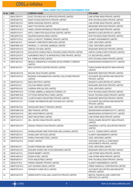## **ISINs ADMITTED DURING NOVEMBER 2020**

| <b>Sr No</b>              | <b>ISIN</b>         | <b>COMPANY NAME</b>                                             | <b>RTA NAME</b>                                                              |
|---------------------------|---------------------|-----------------------------------------------------------------|------------------------------------------------------------------------------|
| $\mathbf{1}$              | <b>INE0CT801017</b> | ACKO TECHNOLOGY & SERVICES PRIVATE LIMITED                      | LINK INTIME INDIA PRIVATE LIMITED                                            |
| $\sqrt{2}$                | INE0FE901019        | AKER FOODS AGROTECH PRIVATE LIMITED                             | KFIN TECHNOLOGIES PRIVATE LIMITED                                            |
| $\ensuremath{\mathsf{3}}$ | INE0FG501015        | AMPM FASHIONS PRIVATE LIMITED                                   | LINK INTIME INDIA PRIVATE LIMITED                                            |
| 4                         | INE0FI901015        | ANKIT POLYESTER LIMITED                                         | <b>BIGSHARE SERVICES PRIVATE LIMITED</b>                                     |
| $5\,$                     | INE0FDY01013        | ANSAL CROWN INFRABUILD PRIVATE LIMITED                          | LINK INTIME INDIA PRIVATE LIMITED                                            |
| 6                         | INE0FEY01011        | ANTIL COMPUTER EDUCATION CENTRE LIMITED                         | MAASHITLA SECURITIES (P) LIMITED                                             |
| $\overline{7}$            | INE930P01018        | ANUPAM RASAYAN INDIA LIMITED                                    | KFIN TECHNOLOGIES PRIVATE LIMITED                                            |
| 8                         | <b>INE0FP101013</b> | APOLLO PACIFIC TERMINAL PRIVATE LIMITED                         | ALANKIT ASSIGNMENTS LIMITED                                                  |
| 9                         | INE0FIS01014        | ARIHANT CORPORATE SERVICES LIMITED                              | <b>CDSL VENTURES LIMITED</b>                                                 |
| 10                        | INE0FM901019        | ARORAS J. K. NATURAL MARBLES LIMITED                            | <b>CDSL VENTURES LIMITED</b>                                                 |
| 11                        | INE0FKH01013        | ARROW OXYGEN LIMITED                                            | <b>BIGSHARE SERVICES PRIVATE LIMITED</b>                                     |
| 12                        | INE0FCR01019        | ASCLEPIUS CONSULTING & TECHNOLOGIES PRIVATE LIMITED             | AARTHI CONSULTANTS PRIVATE LIMITED                                           |
| 13                        | INE0FCS01017        | AUROBINDO REALTY & INFRASTRUCTURE PRIVATE LIMITED               | <b>CIL SECURITIES LIMITED</b>                                                |
| 14                        | <b>INE0FD501018</b> | <b>B.N. FABRICATORS LIMITED</b>                                 | KFIN TECHNOLOGIES PRIVATE LIMITED                                            |
| 15                        | INE0FJE01012        | BENGAL GREENFIELD HOUSING DEVELOPMENT COMPANY<br><b>LIMITED</b> | MAHESHWARI DATAMATICS PVT. LIMITED                                           |
| 16                        | INE0FIX01014        | BEST EXPORTS CENTRE PRIVATE LIMITED                             | PURVA SHARE REGISTRY INDIA PRIVATE<br>LIMITED                                |
| 17                        | INE0EU501018        | <b>BIOLINK HEALTHCARE LIMITED</b>                               | BIGSHARE SERVICES PRIVATE LIMITED                                            |
| 18                        | INEOFLK01015        | BIOSPAN CONTAMINATION CONTROL SOLUTIONS PRIVATE<br>LIMITED      | ACCURATE SECURITIES AND REGISTRY<br>PRIVATE LIMITED                          |
| 19                        | <b>INE0FK401012</b> | <b>BSAS INFOTECH LIMITED</b>                                    | MAASHITLA SECURITIES (P) LIMITED                                             |
| 20                        | INE0FKI01011        | <b>CELCON GREEN LIMITED</b>                                     | <b>BIGSHARE SERVICES PRIVATE LIMITED</b>                                     |
| 21                        | <b>INE0FF801010</b> | <b>CHERISH SPECIALTIES LIMITED</b>                              | <b>CDSL VENTURES LIMITED</b>                                                 |
| 22                        | INE0FNP01010        | CITIZEN UMBRELLA MANUFACTURERS LTD                              | KFIN TECHNOLOGIES PRIVATE LIMITED                                            |
| 23                        | INE0FNR01016        | CITYSTAR INFRASTRUCTURES LIMITED                                | NICHE TECHNOLOGIES PRIVATE LIMITED                                           |
| 24                        | <b>INE0FF501016</b> | CLAIRVOYANCE INDUSTRIES PRIVATE LIMITED                         | <b>BIGSHARE SERVICES PRIVATE LIMITED</b>                                     |
| 25                        | INE0FEV01017        | COSMIC INFORMATION AND TECHNOLOGY LIMITED                       | ACCURATE SECURITIES AND REGISTRY<br>PRIVATE LIMITED                          |
| 26                        | <b>INE0FF901018</b> | DATASCAPE REALTY PRIVATE LIMITED                                | <b>CDSL VENTURES LIMITED</b>                                                 |
| 27                        | INE0FDM01018        | <b>DBD FINANCE LIMITED</b>                                      | MAHESHWARI DATAMATICS PVT. LIMITED                                           |
| 28                        | INE0FDO01014        | <b>DBD INVESTMENTS LIMITED</b>                                  | MAHESHWARI DATAMATICS PVT. LIMITED                                           |
| 29                        | INE0FHS01016        | DEEP INDUSTRIES LIMITED                                         | LINK INTIME INDIA PRIVATE LIMITED                                            |
| 30                        | INE0FOJ01011        | DEL, SEATEK INDIA PRIVATE LIMITED                               | PURVA SHARE REGISTRY INDIA PRIVATE<br>LIMITED                                |
| 31                        | INE0FHQ01010        | DESAAL PRODUCTION PRIVATE LIMITED                               | UNIVERSAL CAPITAL SECURITIES PRIVATE<br><b>LIMITED</b>                       |
| 32                        | INE0FEX01013        | DHANALAKSHMI HIRE PURCHASE AND LEASING LIMITED                  | S.K.D.C. CONSULTANTS LIMITED                                                 |
| 33                        | INE0FHZ01011        | DHANLUXMI TEXTILES LIMITED                                      | <b>ALANKIT ASSIGNMENTS LIMITED</b>                                           |
| 34                        | INE0FNX01014        | DHIRAJ IRON AND STEEL LIMITED                                   | <b>CDSL VENTURES LIMITED</b>                                                 |
| 35                        | INE0FFQ01014        | <b>ECMAT LIMITED</b>                                            | <b>VENTURE CAPITAL &amp; CORPORATE</b><br><b>INVESTMENTS PRIVATE LIMITED</b> |
| 36                        | INE0FIK01011        | <b>ELKINS TRADELINK LIMITED</b>                                 | <b>CDSL VENTURES LIMITED</b>                                                 |
| 37                        | INE0FKX01010        | ESQUIRE SHARE AND STOCK BROKERS LIMITED                         | BIGSHARE SERVICES PRIVATE LIMITED                                            |
| 38                        | <b>INE0FL801012</b> | <b>ESSAR MINMET LIMITED</b>                                     | LINK INTIME INDIA PRIVATE LIMITED                                            |
| 39                        | INE0FHN01017        | <b>ESSAR STEEL LIMITED</b>                                      | LINK INTIME INDIA PRIVATE LIMITED                                            |
| 40                        | <b>INE0FE801011</b> | <b>FITEX INDUSTRIES LIMITED</b>                                 | KFIN TECHNOLOGIES PRIVATE LIMITED                                            |
| 41                        | INE02I701016        | FRENCH BAKERY PRIVATE LIMITED                                   | ALANKIT ASSIGNMENTS LIMITED                                                  |
| 42                        | INE0FOX01012        | GAIT NAURISH (INDIA) LIMITED                                    | ORBIS FINANCIAL CORPORATION LIMITED                                          |
| 43                        | <b>INE0FD701014</b> | <b>GOPINATH CHEM-TECH LIMITED</b>                               | ACCURATE SECURITIES AND REGISTRY<br>PRIVATE LIMITED                          |
| 44                        | INE0FH301019        | GREEN EARTH COAL AND LOGISTICS PRIVATE LIMITED                  | BEETAL FINANCIAL AND COMPUTER<br>SERVICES (P) LIMITED                        |

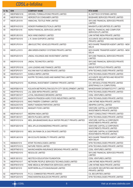| <b>Sr No</b> | <b>ISIN</b>         | <b>COMPANY NAME</b>                                   | <b>RTA NAME</b>                                                              |
|--------------|---------------------|-------------------------------------------------------|------------------------------------------------------------------------------|
| 45           | INE0FMS01016        | <b>GROWEL FORMULATIONS PRIVATE LIMITED</b>            | <b>XL SOFTECH SYSTEMS LIMITED</b>                                            |
| 46           | INE0FIW01016        | HERODOTUS CONSUMER LIMITED                            | BIGSHARE SERVICES PRIVATE LIMITED                                            |
| 47           | <b>INE0FL001019</b> | HIMACHAL TEXTILE PARK LIMITED                         | SKYLINE FINANCIAL SERVICES PRIVATE<br><b>LIMITED</b>                         |
| 48           | INE0FHV01010        | HONOR PHARMACEUTICALS LIMITED                         | MAASHITLA SECURITIES (P) LIMITED                                             |
| 49           | INE0FDI01016        | <b>INDRA FINANCIAL SERVICES LIMITED</b>               | BEETAL FINANCIAL AND COMPUTER<br>SERVICES (P) LIMITED                        |
| 50           | INE0FLR01010        | <b>INOX WIND ENERGY LIMITED</b>                       | LINK INTIME INDIA PRIVATE LIMITED                                            |
| 51           | INE0FFX01010        | J. R. SHAH EXPORTS LIMITED                            | ACCURATE SECURITIES AND REGISTRY<br>PRIVATE LIMITED                          |
| 52           | INE0FLP01014        | JBM ELECTRIC VEHICLES PRIVATE LIMITED                 | MCS SHARE TRANSFER AGENT LIMITED - NEW<br><b>DELHI</b>                       |
| 53           | INE0FLL01013        | JBM GREEN ENERGY SYSTEMS PRIVATE LIMITED              | MCS SHARE TRANSFER AGENT LIMITED - NEW<br><b>DELHI</b>                       |
| 54           | INE0FKZ01015        | JINDAL HOLDINGS AND INVESTMENT LIMITED                | SKYLINE FINANCIAL SERVICES PRIVATE<br>LIMITED                                |
| 55           | INE0FKY01018        | <b>JINDAL TECHNOTEX LIMITED</b>                       | SKYLINE FINANCIAL SERVICES PRIVATE<br><b>LIMITED</b>                         |
| 56           | INE0FOP01018        | <b>JUHI LEASING AND FINANCE LIMITED</b>               | INDUS PORTFOLIO PRIVATE LIMITED                                              |
| 57           | INE0FDP01011        | KALYANI NAVYUG MEDIA PRIVATE LIMITED                  | KFIN TECHNOLOGIES PRIVATE LIMITED                                            |
| 58           | INEOFEA01011        | KANDLA IMPEX LIMITED                                  | KFIN TECHNOLOGIES PRIVATE LIMITED                                            |
| 59           | INE0FD601016        | KAYPRI TECHNOLOGIES AND MARKETING LIMITED             | ACCURATE SECURITIES AND REGISTRY<br>PRIVATE LIMITED                          |
| 60           | INE0FNU01010        | KEJRIWAL INVESTMENT COMPANY PRIVATE LIMITED           | S.K. INFOSOLUTIONS PRIVATE LIMITED<br>(ERSTWHILE S K COMPUTERS)              |
| 61           | INE0FEB01019        | KOLKATA METROPOLITAN SOUTH CITY DEVELOPMENT LIMITED   | MAHESHWARI DATAMATICS PVT. LIMITED                                           |
| 62           | INE0FFR01012        | LAL GEBI INFRA PRIVATE LIMITED                        | KFIN TECHNOLOGIES PRIVATE LIMITED                                            |
| 63           | INE0FO901017        | LOYAL INSURANCE BROKERS LIMITED                       | <b>CDSL VENTURES LIMITED</b>                                                 |
| 64           | INE0FEC01017        | MADHYA PRADESH AGRO FOOD INDUSTRIES LIMITED           | KFIN TECHNOLOGIES PRIVATE LIMITED                                            |
| 65           | INE0FKG01015        | MAG FINSERV COMPANY LIMITED                           | LINK INTIME INDIA PRIVATE LIMITED                                            |
| 66           | INE0A2X01016        | MARUT NANDAN PARYATAN LIMITED                         | ABHIPRA CAPITAL LIMITED                                                      |
| 67           | INE0FHR01018        | MASQATI FOOD LIMITED                                  | <b>VENTURE CAPITAL &amp; CORPORATE</b><br><b>INVESTMENTS PRIVATE LIMITED</b> |
| 68           | <b>INE0FH401017</b> | <b>MEDPAK INDIA LIMITED</b>                           | ANKIT CONSULTANCY PRIVATE LIMITED                                            |
| 69           | <b>INE0FC901011</b> | <b>MEHTA PULSES LIMITED</b>                           | KFIN TECHNOLOGIES PRIVATE LIMITED                                            |
| 70           | INE0FHY01014        | MEIL (BHUBANESWAR) BULK WATER PROJECT PRIVATE LIMITED | VENTURE CAPITAL & CORPORATE<br><b>INVESTMENTS PRIVATE LIMITED</b>            |
| 71           | INE0FGE01018        | MEIL APLUS ENGINEERING PRIVATE LIMITED                | <b>VENTURE CAPITAL &amp; CORPORATE</b><br><b>INVESTMENTS PRIVATE LIMITED</b> |
| 72           | INE0FGD01010        | MEIL SAI RAMA OIL & GAS PRIVATE LIMITED               | <b>VENTURE CAPITAL &amp; CORPORATE</b><br><b>INVESTMENTS PRIVATE LIMITED</b> |
| 73           | INE0FLN01019        | MH ECOLIFE EMOBILITY PRIVATE LIMITED                  | MCS SHARE TRANSFER AGENT LIMITED -<br>NEW DELHI                              |
| 74           | INE864I01014        | <b>MTAR TECHNOLOGIES LIMITED</b>                      | KFIN TECHNOLOGIES PRIVATE LIMITED                                            |
| 75           | INE0FDT01013        | NATURE FEEDS LIMITED                                  | KFIN TECHNOLOGIES PRIVATE LIMITED                                            |
| 76           | INE0FFM01013        | NAVINCHANDRA INSURANCE BROKING PRIVATE LIMITED        | <b>CDSL VENTURES LIMITED</b>                                                 |
| 77           | INE0FKE01010        | <b>NEGOLICE LIMITED</b>                               | SKYLINE FINANCIAL SERVICES PRIVATE<br><b>LIMITED</b>                         |
| 78           | INE0FJ501012        | NEOTECH EDUCATION FOUNDATION                          | <b>CDSL VENTURES LIMITED</b>                                                 |
| 79           | INE0FFK01017        | NETWORK PEOPLE SERVICES TECHNOLOGIES LIMITED          | LINK INTIME INDIA PRIVATE LIMITED                                            |
| 80           | INE0FMV01010        | NINE MEDIA & INFORMATION SERVICES LIMITED             | LINK INTIME INDIA PRIVATE LIMITED                                            |
| 81           | INE0FI201010        | NORTHERN ALLOYS BHAVNAGAR LIMITED                     | ACCURATE SECURITIES AND REGISTRY<br>PRIVATE LIMITED                          |
| 82           | INE0FP301019        | P.C.S. COMMODITIES PRIVATE LIMITED                    | CIL SECURITIES LIMITED                                                       |
| 83           | INE0FG301010        | PANCHARATNA BUILDCON PRIVATE LIMITED                  | KFIN TECHNOLOGIES PRIVATE LIMITED                                            |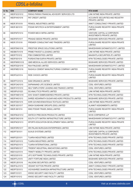| <b>Sr No</b> | <b>ISIN</b>         | <b>COMPANY NAME</b>                             | <b>RTA NAME</b>                                                   |
|--------------|---------------------|-------------------------------------------------|-------------------------------------------------------------------|
| 84           | INE0FGC01012        | PARAG PARIKH FINANCIAL ADVISORY SERVICES LTD    | LINK INTIME INDIA PRIVATE LIMITED                                 |
| 85           | INE0FHX01016        | PAT CREDIT LIMITED                              | ACCURATE SECURITIES AND REGISTRY<br>PRIVATE LIMITED               |
| 86           | INE0FJF01019        | PENSOL INDUSTRIES LIMITED                       | ANKIT CONSULTANCY PRIVATE LIMITED                                 |
| 87           | INE0FJ601010        | PODAR INFOTECH & ENTERTAINMENT LIMITED          | PURVA SHARE REGISTRY INDIA PRIVATE<br><b>LIMITED</b>              |
| 88           | INE0FMT01014        | POWER MECH INFRA LIMITED                        | VENTURE CAPITAL & CORPORATE<br><b>INVESTMENTS PRIVATE LIMITED</b> |
| 89           | INE0FKF01017        | PRASAD SEEDS PRIVATE LIMITED                    | BIGSHARE SERVICES PRIVATE LIMITED                                 |
| 90           | <b>INE0FJ701018</b> | PREMIER CONSULTANT AND TRADERS LIMITED          | PURVA SHARE REGISTRY INDIA PRIVATE<br>LIMITED                     |
| 91           | INE0FDN01016        | PRESTIGE SPACE SOLUTIONS LIMITED                | MAHESHWARI DATAMATICS PVT. LIMITED                                |
| 92           | <b>INE0BK701019</b> | PRIME FINVEST & LEASING LIMITED                 | LINK INTIME INDIA PRIVATE LIMITED                                 |
| 93           | INE0FIT01012        | PSB COMMODITIES LIMITED                         | MAASHITLA SECURITIES (P) LIMITED                                  |
| 94           | <b>INE0FI001014</b> | PURSHOTAM SURYA PRIVATE LIMITED                 | KFIN TECHNOLOGIES PRIVATE LIMITED                                 |
| 95           | INE0FMW01018        | QMS MEDICAL ALLIED SERVICES LIMITED             | <b>BIGSHARE SERVICES PRIVATE LIMITED</b>                          |
| 96           | INE0FDQ01019        | <b>RAA FINLEASE LIMITED</b>                     | MAHESHWARI DATAMATICS PVT. LIMITED                                |
| 97           | INE0FME01016        | RAGHOJI CEMENT MANUFACTURING COMPANY LIMITED    | PURVA SHARE REGISTRY INDIA PRIVATE<br><b>LIMITED</b>              |
| 98           | INE0FDJ01014        | RIDE CHOICE LIMITED                             | PURVA SHARE REGISTRY INDIA PRIVATE<br><b>LIMITED</b>              |
| 99           | INE0FFC01014        | <b>SAM ORGANICS LIMITED</b>                     | <b>BIGSHARE SERVICES PRIVATE LIMITED</b>                          |
| 100          | INE0FOA01010        | SAPNANAND LIFE SCIENCE LIMITED                  | <b>CDSL VENTURES LIMITED</b>                                      |
| 101          | INE0FOY01010        | SELF EMPLOYERS' LEASING AND FINANCE LIMITED     | <b>CDSL VENTURES LIMITED</b>                                      |
| 102          | INE00PU01023        | <b>SG ANALYTICS PRIVATE LIMITED</b>             | LINK INTIME INDIA PRIVATE LIMITED                                 |
| 103          | INE0FHM01019        | SHIV SHAKTI EMBROIDERIES PRIVATE LIMITED        | KFIN TECHNOLOGIES PRIVATE LIMITED                                 |
| 104          | INE0FHK01013        | SHREE KEDARNATH SUGAR AND AGRO PRODUCTS LIMITED | BIGSHARE SERVICES PRIVATE LIMITED                                 |
| 105          | INE0FDS01015        | SHRI GOVINDVENKATESAA TEXTILES LIMITED          | LINK INTIME INDIA PRIVATE LIMITED                                 |
| 106          | INE0FJG01017        | SINGH SUNSHINE GROUPS (SSG) LIMITED             | ALANKIT ASSIGNMENTS LIMITED                                       |
| 107          | INE0FJ901014        | SINO PODAR TRADE (INDIA) LIMITED                | PURVA SHARE REGISTRY INDIA PRIVATE<br>LIMITED                     |
| 108          | INE0FMU01012        | SINTECH PRECISION PRODUCTS LIMITED              | NIVIS CORPSERVE LLP                                               |
| 109          | INE0FOK01019        | SOUTH CITY MATRIX INFRASTRUCTURE LIMITED        | MAHESHWARI DATAMATICS PVT. LIMITED                                |
| 110          | INE0FNO01013        | SPORTS EDUCATION DEVELOPMENT INDIA LIMITED      | PURVA SHARE REGISTRY INDIA PRIVATE<br>LIMITED                     |
| 111          | INE0FDR01017        | SRI PALANI MURUGAN ENTERPRISES LIMITED          | LINK INTIME INDIA PRIVATE LIMITED                                 |
| 112          | INE0FF301011        | <b>SUXUS SYSTEMS LIMITED</b>                    | VENTURE CAPITAL & CORPORATE<br><b>INVESTMENTS PRIVATE LIMITED</b> |
| 113          | IN90FG201011        | <b>TIJARIA INDUSTRIES LIMITED</b>               | KFIN TECHNOLOGIES PRIVATE LIMITED                                 |
| 114          | INE0FG201012        | <b>TIJARIA INDUSTRIES LIMITED</b>               | KFIN TECHNOLOGIES PRIVATE LIMITED                                 |
| 115          | INE0FN201013        | <b>TIJARIA INTERNATIONAL LIMITED</b>            | KFIN TECHNOLOGIES PRIVATE LIMITED                                 |
| 116          | <b>INE0FM501017</b> | TRIDENT INDUSTRIAL INNOVATIONS LIMITED          | <b>CDSL VENTURES LIMITED</b>                                      |
| 117          | INE814U01014        | TRINITY MOBILITY PRIVATE LIMITED                | KFIN TECHNOLOGIES PRIVATE LIMITED                                 |
| 118          | INE023201010        | UFO SOFTWARE TECHNOLOGIES PRIVATE LIMITED       | LINK INTIME INDIA PRIVATE LIMITED                                 |
| 119          | INEOFFL01015        | UNITY FORTUNE INDIA LIMITED                     | BIGSHARE SERVICES PRIVATE LIMITED                                 |
| 120          | INE0FLS01018        | <b>VALSONS SECURITIES LIMITED</b>               | <b>CDSL VENTURES LIMITED</b>                                      |
| 121          | INE0FGL01013        | <b>VEDANT KOTTON PRIVATE LIMITED</b>            | ANKIT CONSULTANCY PRIVATE LIMITED                                 |
| 122          | <b>INE0FF201013</b> | VIGYASHREE SHARODA INFRASTRUCTURE LIMITED       | KFIN TECHNOLOGIES PRIVATE LIMITED                                 |
| 123          | IN90FI101011        | WWSO SECURITY AND FACILITY LIMITED              | <b>CDSL VENTURES LIMITED</b>                                      |
| 124          | INE0FI101012        | WWSO SECURITY AND FACILITY LIMITED              | <b>CDSL VENTURES LIMITED</b>                                      |